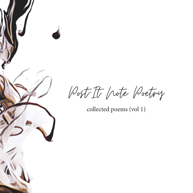Post-It Note Poetry

collected poems (vol 1)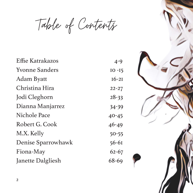Table of Contents

| Effie Katrakazos      | $4 - 9$   |
|-----------------------|-----------|
| <b>Yvonne Sanders</b> | $IO - I5$ |
| Adam Byatt            | $16-21$   |
| Christina Hira        | $22 - 27$ |
| Jodi Cleghorn         | $28 - 33$ |
| Dianna Manjarrez      | 34-39     |
| Nichole Pace          | $40 - 45$ |
| Robert G. Cook        | $46 - 49$ |
| M.X. Kelly            | $50 - 55$ |
| Denise Sparrowhawk    | $56 - 61$ |
| Fiona-May             | $62 - 67$ |
| Janette Dalgliesh     | 68-69     |

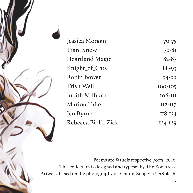

| 70-75          |
|----------------|
| $76 - 81$      |
| $82 - 87$      |
| 88-93          |
| $94 - 99$      |
| <b>IOO-IO5</b> |
| <b>106-III</b> |
| $II2-II7$      |
| $II8-I23$      |
| $I24 - I29$    |
|                |

Poems are © their respective poets, 2020. This collection is designed and typeset by The Booktress. Artwork based on the photography of ChutterSnap via UnSplash.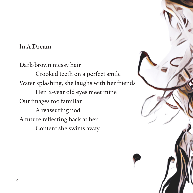### **In A Dream**

Dark-brown messy hair Crooked teeth on a perfect smile Water splashing, she laughs with her friends Her 12-year old eyes meet mine Our images too familiar A reassuring nod A future reflecting back at her Content she swims away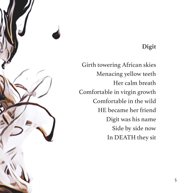# **Digit**

Girth towering African skies Menacing yellow teeth Her calm breath Comfortable in virgin growth Comfortable in the wild HE became her friend Digit was his name Side by side now In DEATH they sit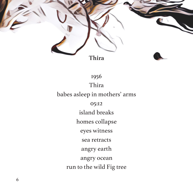

1956 Thira babes asleep in mothers' arms 05:12 island breaks homes collapse eyes witness sea retracts angry earth angry ocean run to the wild Fig tree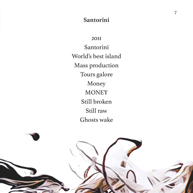#### **Santorini**

2011 Santorini World's best island Mass production Tours galore Money **MONEY** Still broken Still raw Ghosts wake

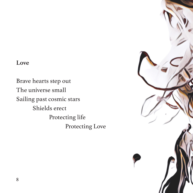### **Love**

Brave hearts step out The universe small Sailing past cosmic stars Shields erect Protecting life Protecting Love

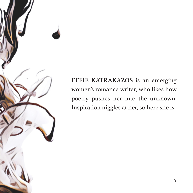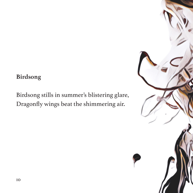# **Birdsong**

Birdsong stills in summer's blistering glare, Dragonfly wings beat the shimmering air.

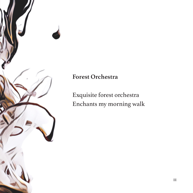

## **Forest Orchestra**

Exquisite forest orchestra Enchants my morning walk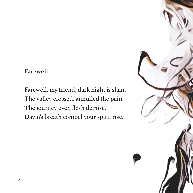#### **Farewell**

Farewell, my friend, dark night is slain, The valley crossed, annulled the pain. The journey over, flesh demise, Dawn's breath compel your spirit rise.

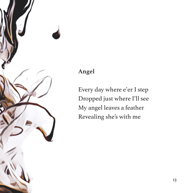

### **Angel**

Every day where e'er I step Dropped just where I'll see My angel leaves a feather Revealing she's with me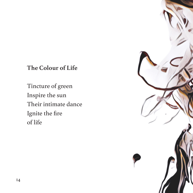# **The Colour of Life**

Tincture of green Inspire the sun Their intimate dance Ignite the fire of life

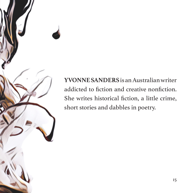**YVONNE SANDERS** is an Australian writer addicted to fiction and creative nonfiction. She writes historical fiction, a little crime, short stories and dabbles in poetry.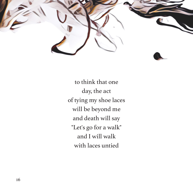

to think that one day, the act of tying my shoe laces will be beyond me and death will say "Let's go for a walk" and I will walk with laces untied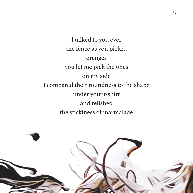I talked to you over the fence as you picked oranges you let me pick the ones on my side I compared their roundness to the shape under your t-shirt and relished the stickiness of marmalade

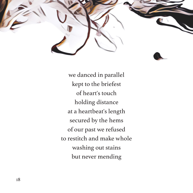

we danced in parallel kept to the briefest of heart's touch holding distance at a heartbeat's length secured by the hems of our past we refused to restitch and make whole washing out stains but never mending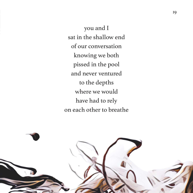you and I sat in the shallow end of our conversation knowing we both pissed in the pool and never ventured to the depths where we would have had to rely on each other to breathe

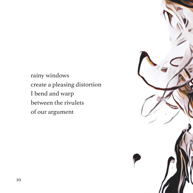rainy windows create a pleasing distortion I bend and warp between the rivulets of our argument

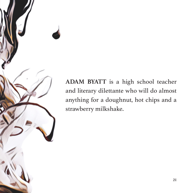**ADAM BYATT** is a high school teacher and literary dilettante who will do almost anything for a doughnut, hot chips and a strawberry milkshake.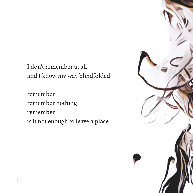I don't remember at all and I know my way blindfolded

remember remember nothing remember is it not enough to leave a place

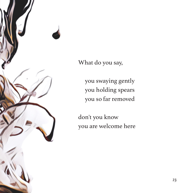

What do you say,

 you swaying gently you holding spears you so far removed

don't you know you are welcome here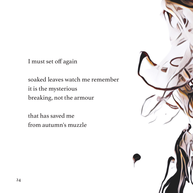I must set off again

soaked leaves watch me remember it is the mysterious breaking, not the armour

that has saved me from autumn's muzzle

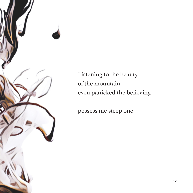

Listening to the beauty of the mountain even panicked the believing

possess me steep one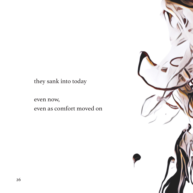they sank into today

even now, even as comfort moved on

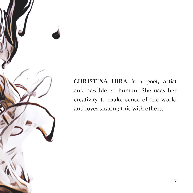

**CHRISTINA HIRA** is a poet, artist and bewildered human. She uses her creativity to make sense of the world and loves sharing this with others.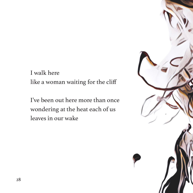I walk here like a woman waiting for the cliff

I've been out here more than once wondering at the heat each of us leaves in our wake

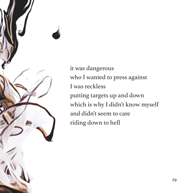

it was dangerous who I wanted to press against I was reckless putting targets up and down which is why I didn't know myself and didn't seem to care riding down to hell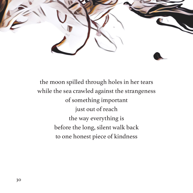

the moon spilled through holes in her tears while the sea crawled against the strangeness of something important just out of reach the way everything is before the long, silent walk back to one honest piece of kindness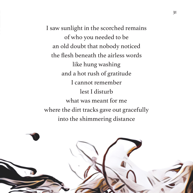I saw sunlight in the scorched remains of who you needed to be an old doubt that nobody noticed the flesh beneath the airless words like hung washing and a hot rush of gratitude I cannot remember lest I disturb what was meant for me where the dirt tracks gave out gracefully into the shimmering distance

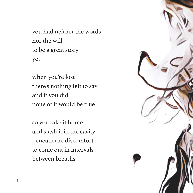you had neither the words nor the will to be a great story yet

when you're lost there's nothing left to say and if you did none of it would be true

so you take it home and stash it in the cavity beneath the discomfort to come out in intervals between breaths

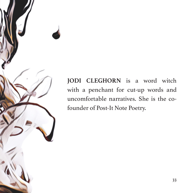**JODI CLEGHORN** is a word witch with a penchant for cut-up words and uncomfortable narratives. She is the cofounder of Post-It Note Poetry.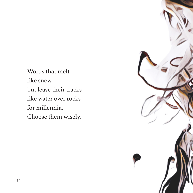Words that melt like snow but leave their tracks like water over rocks for millennia. Choose them wisely.

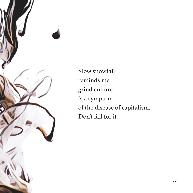

Slow snowfall reminds me grind culture is a symptom of the disease of capitalism. Don't fall for it.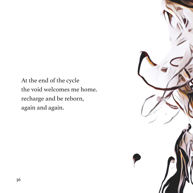At the end of the cycle the void welcomes me home. recharge and be reborn, again and again.

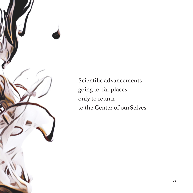

Scientific advancements going to far places only to return to the Center of ourSelves.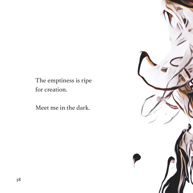The emptiness is ripe for creation.

Meet me in the dark.

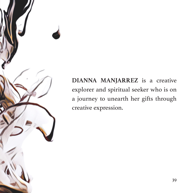

**DIANNA MANJARREZ** is a creative explorer and spiritual seeker who is on a journey to unearth her gifts through creative expression.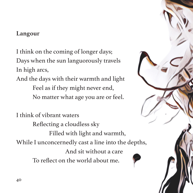### **Langour**

I think on the coming of longer days; Days when the sun languorously travels In high arcs,

And the days with their warmth and light Feel as if they might never end, No matter what age you are or feel.

I think of vibrant waters Reflecting a cloudless sky Filled with light and warmth, While I unconcernedly cast a line into the depths, And sit without a care To reflect on the world about me.

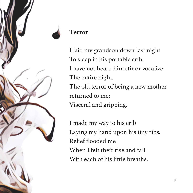

### **Terror**

I laid my grandson down last night To sleep in his portable crib. I have not heard him stir or vocalize The entire night. The old terror of being a new mother returned to me; Visceral and gripping.

I made my way to his crib Laying my hand upon his tiny ribs. Relief flooded me When I felt their rise and fall With each of his little breaths.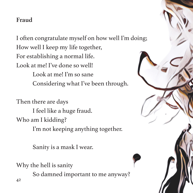# **Fraud**

I often congratulate myself on how well I'm doing; How well I keep my life together, For establishing a normal life. Look at me! I've done so well! Look at me! I'm so sane Considering what I've been through.

Then there are days I feel like a huge fraud. Who am I kidding? I'm not keeping anything together.

Sanity is a mask I wear.

Why the hell is sanity

So damned important to me anyway?

42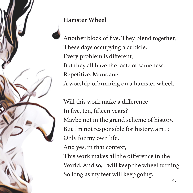**Hamster Wheel** 

Another block of five. They blend together, These days occupying a cubicle. Every problem is different, But they all have the taste of sameness. Repetitive. Mundane. A worship of running on a hamster wheel.

Will this work make a difference In five, ten, fifteen years? Maybe not in the grand scheme of history. But I'm not responsible for history, am I? Only for my own life.

And yes, in that context,

This work makes all the difference in the World. And so, I will keep the wheel turning So long as my feet will keep going.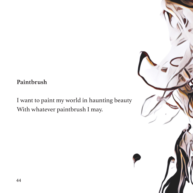### **Paintbrush**

I want to paint my world in haunting beauty With whatever paintbrush I may.

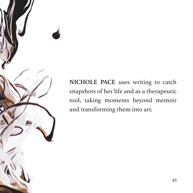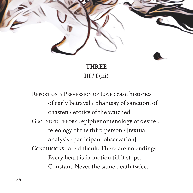

**THREE III / I (iii)**

Report on <sup>a</sup> Perversion of Love : case histories of early betrayal / phantasy of sanction, of chasten / erotics of the watched GROUNDED THEORY : epiphenomenology of desire : teleology of the third person / [textual analysis : participant observation] Conclusions : are difficult. There are no endings. Every heart is in motion till it stops. Constant. Never the same death twice.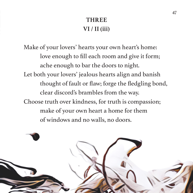# **THREE VI / II (iii)**

Make of your lovers' hearts your own heart's home: love enough to fill each room and give it form; ache enough to bar the doors to night. Let both your lovers' jealous hearts align and banish thought of fault or flaw; forge the fledgling bond, clear discord's brambles from the way. Choose truth over kindness, for truth is compassion; make of your own heart a home for them of windows and no walls, no doors.

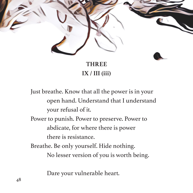

**IX / III (iii)**

Just breathe. Know that all the power is in your open hand. Understand that I understand your refusal of it. Power to punish. Power to preserve. Power to abdicate, for where there is power there is resistance. Breathe. Be only yourself. Hide nothing. No lesser version of you is worth being.

Dare your vulnerable heart.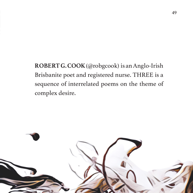**ROBERT G. COOK** (@robgcook) is an Anglo-Irish Brisbanite poet and registered nurse. THREE is a sequence of interrelated poems on the theme of complex desire.

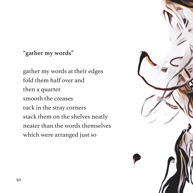# **"gather my words"**

gather my words at their edges fold them half over and then a quarter smooth the creases tuck in the stray corners stack them on the shelves neatly neater than the words themselves which were arranged just so

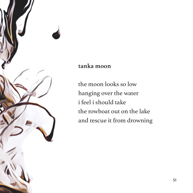

#### **tanka moon**

the moon looks so low hanging over the water i feel i should take the rowboat out on the lake and rescue it from drowning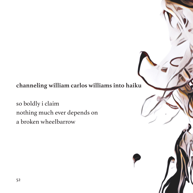# **channeling william carlos williams into haiku**

so boldly i claim nothing much ever depends on a broken wheelbarrow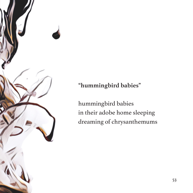

**"hummingbird babies"**

hummingbird babies in their adobe home sleeping dreaming of chrysanthemums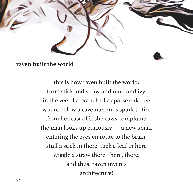

#### **raven built the world**

this is how raven built the world: from stick and straw and mud and ivy. in the vee of a branch of a sparse oak tree where below a caveman rubs spark to fire from her cast offs. she caws complaint; the man looks up curiously — a new spark entering the eyes en route to the brain. stuff a stick in there, tuck a leaf in here wiggle a straw there, there, there: and thus! raven invents architecture!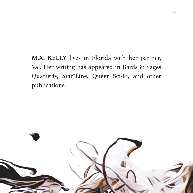**M.X. KELLY** lives in Florida with her partner, Val. Her writing has appeared in Bards & Sages Quarterly, Star\*Line, Queer Sci-Fi, and other publications.

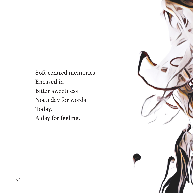Soft-centred memories Encased in Bitter-sweetness Not a day for words Today. A day for feeling.

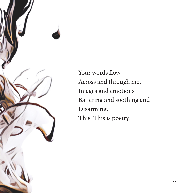

Your words flow Across and through me, Images and emotions Battering and soothing and Disarming. This! This is poetry!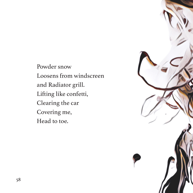Powder snow Loosens from windscreen and Radiator grill. Lifting like confetti, Clearing the car Covering me, Head to toe.

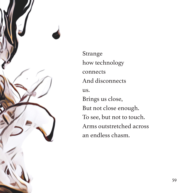

Strange how technology connects And disconnects us. Brings us close, But not close enough. To see, but not to touch. Arms outstretched across an endless chasm.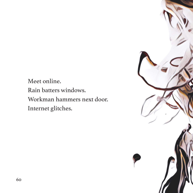Meet online. Rain batters windows. Workman hammers next door. Internet glitches.

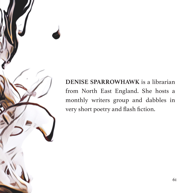**DENISE SPARROWHAWK** is a librarian from North East England. She hosts a monthly writers group and dabbles in very short poetry and flash fiction.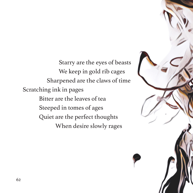Starry are the eyes of beasts We keep in gold rib cages Sharpened are the claws of time Scratching ink in pages Bitter are the leaves of tea Steeped in tomes of ages Quiet are the perfect thoughts When desire slowly rages

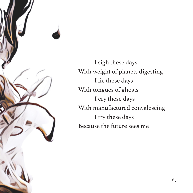

I sigh these days With weight of planets digesting I lie these days With tongues of ghosts I cry these days With manufactured convalescing I try these days Because the future sees me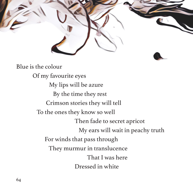

Blue is the colour Of my favourite eyes My lips will be azure By the time they rest Crimson stories they will tell To the ones they know so well Then fade to secret apricot My ears will wait in peachy truth For winds that pass through They murmur in translucence That I was here Dressed in white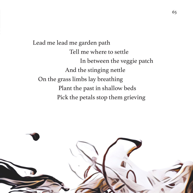Lead me lead me garden path Tell me where to settle In between the veggie patch And the stinging nettle On the grass limbs lay breathing Plant the past in shallow beds Pick the petals stop them grieving

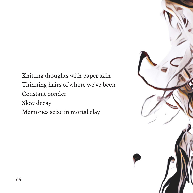Knitting thoughts with paper skin Thinning hairs of where we've been Constant ponder Slow decay Memories seize in mortal clay

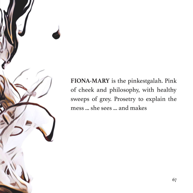**FIONA-MARY** is the pinkestgalah. Pink of cheek and philosophy, with healthy sweeps of grey. Prosetry to explain the mess ... she sees ... and makes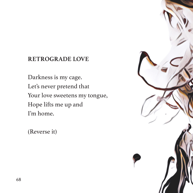### **RETROGRADE LOVE**

Darkness is my cage. Let's never pretend that Your love sweetens my tongue, Hope lifts me up and I'm home.

(Reverse it)

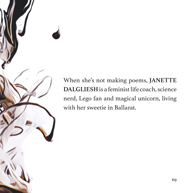When she's not making poems, **JANETTE DALGLIESH** is a feminist life coach, science nerd, Lego fan and magical unicorn, living with her sweetie in Ballarat.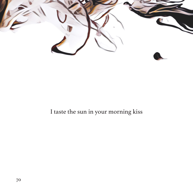

# I taste the sun in your morning kiss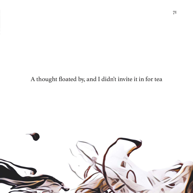# A thought floated by, and I didn't invite it in for tea

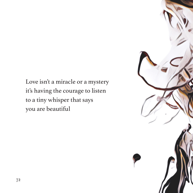Love isn't a miracle or a mystery it's having the courage to listen to a tiny whisper that says you are beautiful

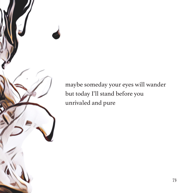maybe someday your eyes will wander but today I'll stand before you unrivaled and pure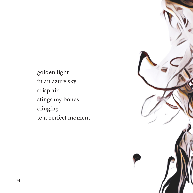golden light in an azure sky crisp air stings my bones clinging to a perfect moment

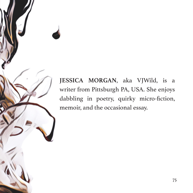**JESSICA MORGAN**, aka VJWild, is a writer from Pittsburgh PA, USA. She enjoys dabbling in poetry, quirky micro-fiction, memoir, and the occasional essay.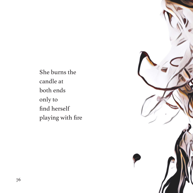She burns the candle at both ends only to find herself playing with fire

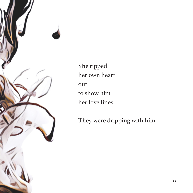

She ripped her own heart out to show him her love lines

They were dripping with him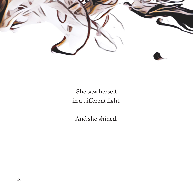

## She saw herself in a different light.

And she shined.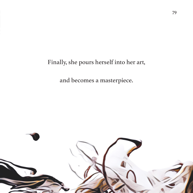Finally, she pours herself into her art,

and becomes a masterpiece.

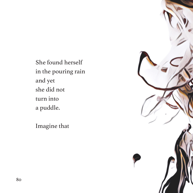She found herself in the pouring rain and yet she did not turn into a puddle.

Imagine that

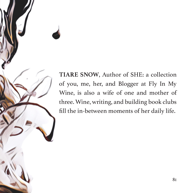**TIARE SNOW**, Author of SHE: a collection of you, me, her, and Blogger at Fly In My Wine, is also a wife of one and mother of three. Wine, writing, and building book clubs fill the in-between moments of her daily life.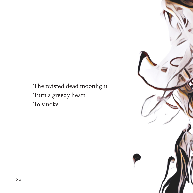## The twisted dead moonlight Turn a greedy heart To smoke

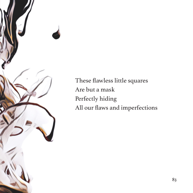

These flawless little squares Are but a mask Perfectly hiding All our flaws and imperfections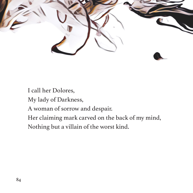

I call her Dolores,

My lady of Darkness,

A woman of sorrow and despair.

Her claiming mark carved on the back of my mind,

Nothing but a villain of the worst kind.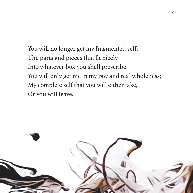You will no longer get my fragmented self; The parts and pieces that fit nicely Into whatever box you shall prescribe. You will only get me in my raw and real wholeness; My complete self that you will either take, Or you will leave.

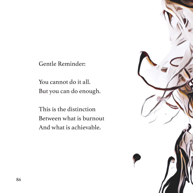Gentle Reminder:

You cannot do it all. But you can do enough.

This is the distinction Between what is burnout And what is achievable.

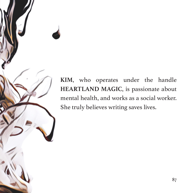**KIM**, who operates under the handle **HEARTLAND MAGIC**, is passionate about mental health, and works as a social worker. She truly believes writing saves lives.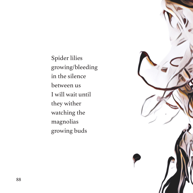Spider lilies growing/bleeding in the silence between us I will wait until they wither watching the magnolias growing buds

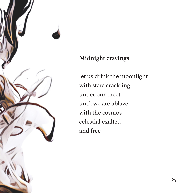

## **Midnight cravings**

let us drink the moonlight with stars crackling under our theet until we are ablaze with the cosmos celestial exalted and free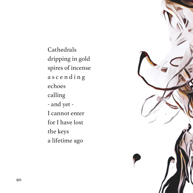Cathedrals dripping in gold spires of incense a s c e n d i n g echoes calling - and yet - I cannot enter for I have lost the keys a lifetime ago

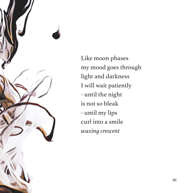

Like moon phases my mood goes through light and darkness I will wait patiently - until the night is not so bleak - until my lips curl into a smile *waxing crescent*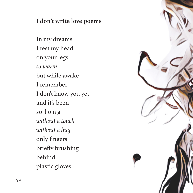## **I don't write love poems**

In my dreams I rest my head on your legs *so warm* but while awake I remember I don't know you yet and it's been so l o n g *without a touch without a hug* only fingers briefly brushing behind plastic gloves

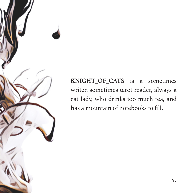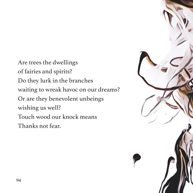Are trees the dwellings of fairies and spirits? Do they lurk in the branches waiting to wreak havoc on our dreams? Or are they benevolent unbeings wishing us well? Touch wood our knock means Thanks not fear.

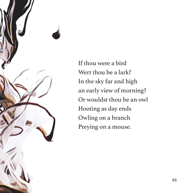

If thou were a bird Wert thou be a lark? In the sky far and high an early view of morning? Or wouldst thou be an owl Hooting as day ends Owling on a branch Preying on a mouse.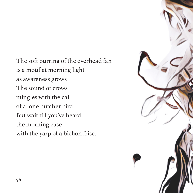The soft purring of the overhead fan is a motif at morning light as awareness grows The sound of crows mingles with the call of a lone butcher bird But wait till you've heard the morning ease with the yarp of a bichon frise.

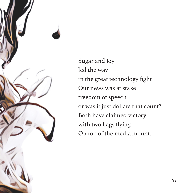

Sugar and Joy led the way in the great technology fight Our news was at stake freedom of speech or was it just dollars that count? Both have claimed victory with two flags flying On top of the media mount.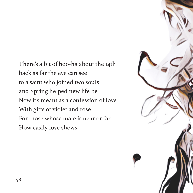There's a bit of hoo-ha about the 14th back as far the eye can see to a saint who joined two souls and Spring helped new life be Now it's meant as a confession of love With gifts of violet and rose For those whose mate is near or far How easily love shows.

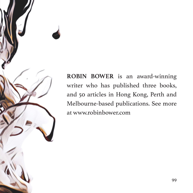

**ROBIN BOWER** is an award-winning writer who has published three books, and 50 articles in Hong Kong, Perth and Melbourne-based publications. See more at www.robinbower.com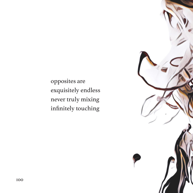opposites are exquisitely endless never truly mixing infinitely touching

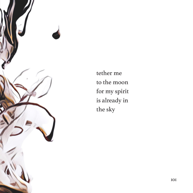

tether me to the moon for my spirit is already in the sky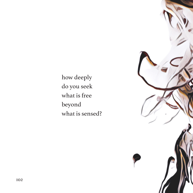how deeply do you seek what is free beyond what is sensed?

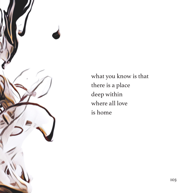

what you know is that there is a place deep within where all love is home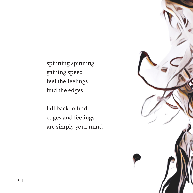spinning spinning gaining speed feel the feelings find the edges

fall back to find edges and feelings are simply your mind

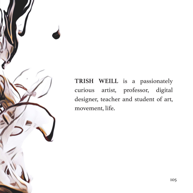

**TRISH WEILL** is a passionately curious artist, professor, digital designer, teacher and student of art, movement, life.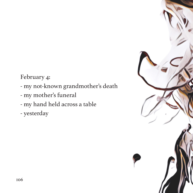February 4:

- my not-known grandmother's death
- my mother's funeral
- my hand held across a table
- yesterday

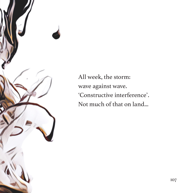

All week, the storm: wave against wave. 'Constructive interference'. Not much of that on land...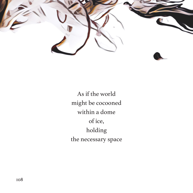

As if the world might be cocooned within a dome of ice, holding the necessary space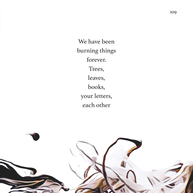We have been burning things forever. Trees, leaves, books, your letters, each other

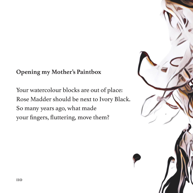## **Opening my Mother's Paintbox**

Your watercolour blocks are out of place: Rose Madder should be next to Ivory Black. So many years ago, what made your fingers, fluttering, move them?

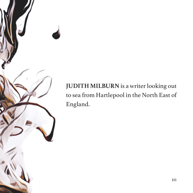# **JUDITH MILBURN** is a writer looking out to sea from Hartlepool in the North East of England.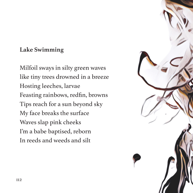## **Lake Swimming**

Milfoil sways in silty green waves like tiny trees drowned in a breeze Hosting leeches, larvae Feasting rainbows, redfin, browns Tips reach for a sun beyond sky My face breaks the surface Waves slap pink cheeks I'm a babe baptised, reborn In reeds and weeds and silt

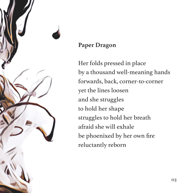

## **Paper Dragon**

Her folds pressed in place by a thousand well-meaning hands forwards, back, corner-to-corner yet the lines loosen and she struggles to hold her shape struggles to hold her breath afraid she will exhale be phoenixed by her own fire reluctantly reborn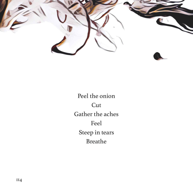

Peel the onion **Cut** Gather the aches Feel Steep in tears Breathe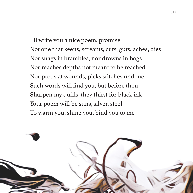I'll write you a nice poem, promise Not one that keens, screams, cuts, guts, aches, dies Nor snags in brambles, nor drowns in bogs Nor reaches depths not meant to be reached Nor prods at wounds, picks stitches undone Such words will find you, but before then Sharpen my quills, they thirst for black ink Your poem will be suns, silver, steel To warm you, shine you, bind you to me

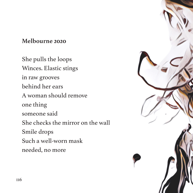## **Melbourne 2020**

She pulls the loops Winces. Elastic stings in raw grooves behind her ears A woman should remove one thing someone said She checks the mirror on the wall Smile drops Such a well-worn mask needed, no more

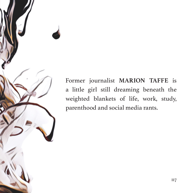Former journalist **MARION TAFFE** is a little girl still dreaming beneath the weighted blankets of life, work, study, parenthood and social media rants.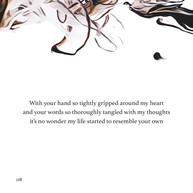

With your hand so tightly gripped around my heart and your words so thoroughly tangled with my thoughts it's no wonder my life started to resemble your own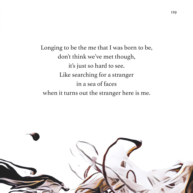Longing to be the me that I was born to be, don't think we've met though, it's just so hard to see. Like searching for a stranger in a sea of faces when it turns out the stranger here is me.

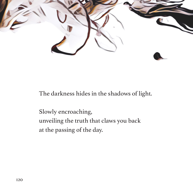

#### The darkness hides in the shadows of light.

Slowly encroaching, unveiling the truth that claws you back at the passing of the day.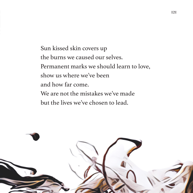Sun kissed skin covers up the burns we caused our selves. Permanent marks we should learn to love, show us where we've been and how far come. We are not the mistakes we've made but the lives we've chosen to lead.

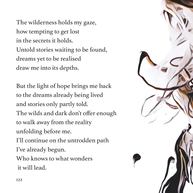The wilderness holds my gaze, how tempting to get lost in the secrets it holds. Untold stories waiting to be found, dreams yet to be realised draw me into its depths.

But the light of hope brings me back to the dreams already being lived and stories only partly told. The wilds and dark don't offer enough to walk away from the reality unfolding before me. I'll continue on the untrodden path I've already begun. Who knows to what wonders it will lead.

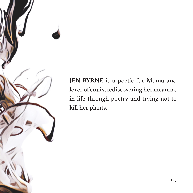

**JEN BYRNE** is a poetic fur Muma and lover of crafts, rediscovering her meaning in life through poetry and trying not to kill her plants.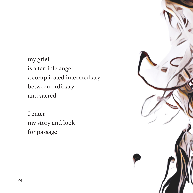my grief is a terrible angel a complicated intermediary between ordinary and sacred

I enter my story and look for passage

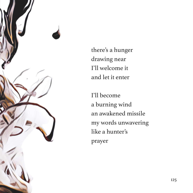

there's a hunger drawing near I'll welcome it and let it enter

I'll become a burning wind an awakened missile my words unwavering like a hunter's prayer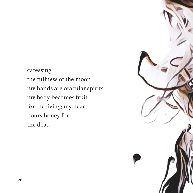caressing the fullness of the moon my hands are oracular spirits my body becomes fruit for the living; my heart pours honey for the dead

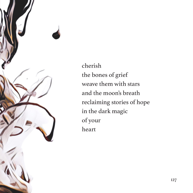

cherish the bones of grief weave them with stars and the moon's breath reclaiming stories of hope in the dark magic of your heart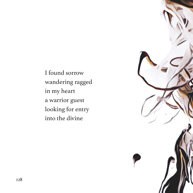I found sorrow wandering ragged in my heart a warrior guest looking for entry into the divine

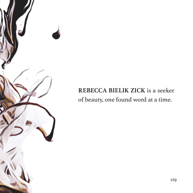